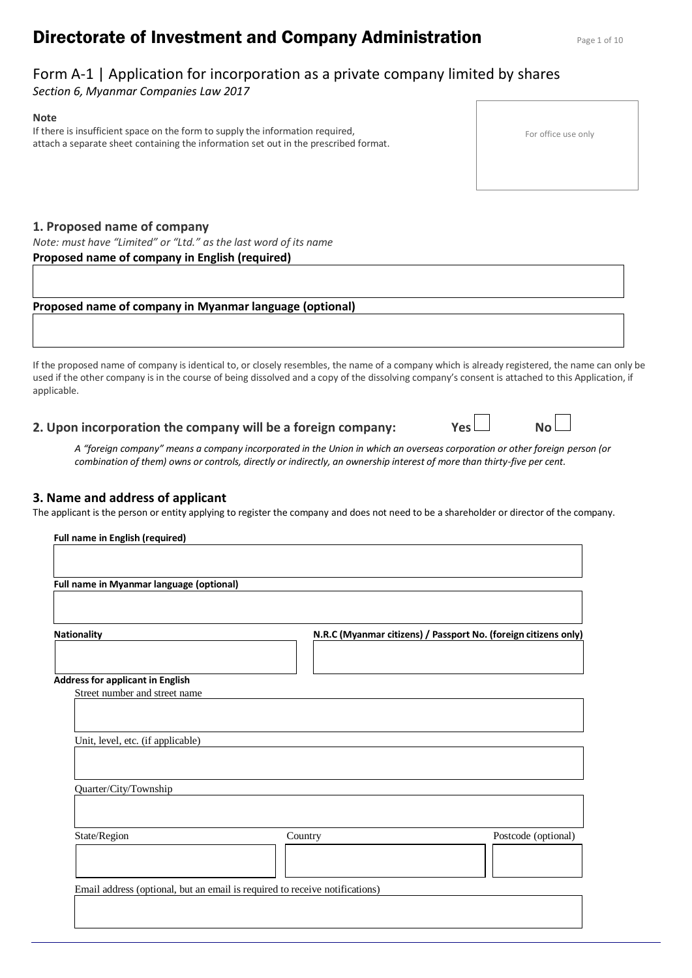# **Directorate of Investment and Company Administration** Page 1 of 10

# Form A-1 | Application for incorporation as a private company limited by shares

*Section 6, Myanmar Companies Law 2017*

#### **Note**

If there is insufficient space on the form to supply the information required, attach a separate sheet containing the information set out in the prescribed format.

# **1. Proposed name of company**

*Note: must have "Limited" or "Ltd." as the last word of its name* **Proposed name of company in English (required)** 

## **Proposed name of company in Myanmar language (optional)**

If the proposed name of company is identical to, or closely resembles, the name of a company which is already registered, the name can only be used if the other company is in the course of being dissolved and a copy of the dissolving company's consent is attached to this Application, if applicable.

**2. Upon incorporation the company will be a foreign company: Yes No**

*A "foreign company" means a company incorporated in the Union in which an overseas corporation or other foreign person (or combination of them) owns or controls, directly or indirectly, an ownership interest of more than thirty-five per cent.*

# **3. Name and address of applicant**

The applicant is the person or entity applying to register the company and does not need to be a shareholder or director of the company.

| Full name in Myanmar language (optional) |                                                                             |                                                                 |
|------------------------------------------|-----------------------------------------------------------------------------|-----------------------------------------------------------------|
|                                          |                                                                             |                                                                 |
|                                          |                                                                             |                                                                 |
| <b>Nationality</b>                       |                                                                             | N.R.C (Myanmar citizens) / Passport No. (foreign citizens only) |
|                                          |                                                                             |                                                                 |
| <b>Address for applicant in English</b>  |                                                                             |                                                                 |
| Street number and street name            |                                                                             |                                                                 |
|                                          |                                                                             |                                                                 |
|                                          |                                                                             |                                                                 |
| Unit, level, etc. (if applicable)        |                                                                             |                                                                 |
|                                          |                                                                             |                                                                 |
|                                          |                                                                             |                                                                 |
| Quarter/City/Township                    |                                                                             |                                                                 |
|                                          |                                                                             |                                                                 |
| State/Region                             | Country                                                                     | Postcode (optional)                                             |
|                                          |                                                                             |                                                                 |
|                                          |                                                                             |                                                                 |
|                                          | Email address (optional, but an email is required to receive notifications) |                                                                 |
|                                          |                                                                             |                                                                 |

For office use only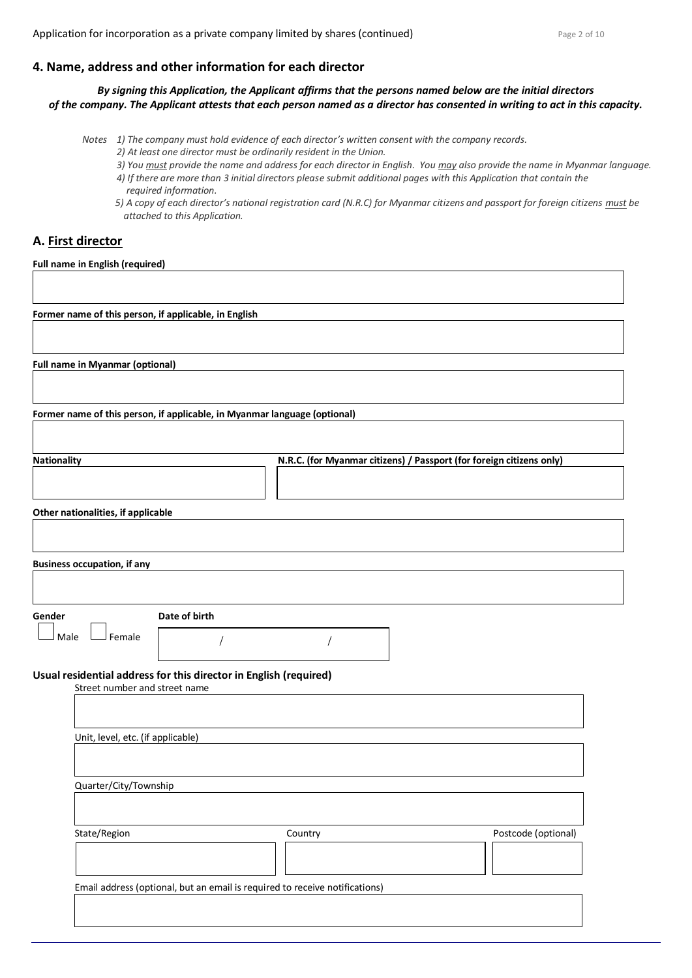#### **4. Name, address and other information for each director**

*By signing this Application, the Applicant affirms that the persons named below are the initial directors of the company. The Applicant attests that each person named as a director has consented in writing to act in this capacity.*

*Notes 1) The company must hold evidence of each director's written consent with the company records.*

- *2) At least one director must be ordinarily resident in the Union.*
- *3) You must provide the name and address for each director in English. You may also provide the name in Myanmar language.*
- *4) If there are more than 3 initial directors please submit additional pages with this Application that contain the required information.*
- *5) A copy of each director's national registration card (N.R.C) for Myanmar citizens and passport for foreign citizens must be attached to this Application.*

# **A. First director**

**Full name in English (required)**

**Former name of this person, if applicable, in English** 

**Full name in Myanmar (optional)**

**Former name of this person, if applicable, in Myanmar language (optional)**

| Nationality | N.R.C. (for Myanmar citizens) / Passport (for foreign citizens only) |
|-------------|----------------------------------------------------------------------|
|             |                                                                      |
|             |                                                                      |
|             |                                                                      |

**Other nationalities, if applicable**

**Business occupation, if any**

| ۰, | ٠<br>٠<br>۰,<br><br>۰,<br>× |  |
|----|-----------------------------|--|
|    |                             |  |

**Date of birth** 

 $\Box$  Male  $\Box$  Female

# **Usual residential address for this director in English (required)**

| Street number and street name     |                                                                             |                     |
|-----------------------------------|-----------------------------------------------------------------------------|---------------------|
|                                   |                                                                             |                     |
|                                   |                                                                             |                     |
| Unit, level, etc. (if applicable) |                                                                             |                     |
|                                   |                                                                             |                     |
|                                   |                                                                             |                     |
| Quarter/City/Township             |                                                                             |                     |
|                                   |                                                                             |                     |
|                                   |                                                                             |                     |
| State/Region                      | Country                                                                     | Postcode (optional) |
|                                   |                                                                             |                     |
|                                   |                                                                             |                     |
|                                   | Email address (optional, but an email is required to receive notifications) |                     |
|                                   |                                                                             |                     |
|                                   |                                                                             |                     |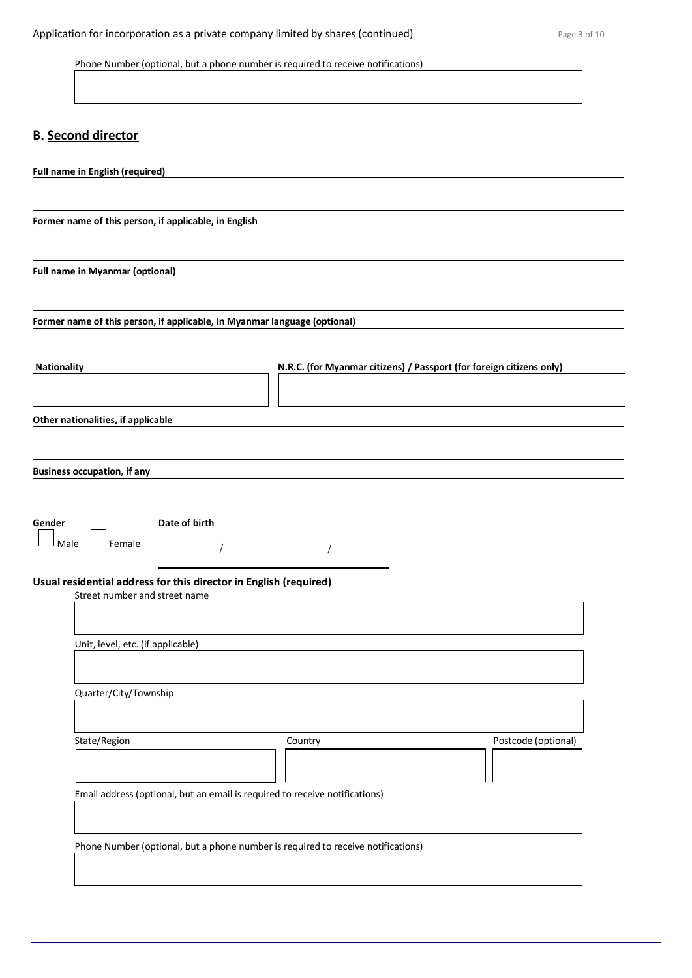# **B. Second director**

| <b>Full name in English (required)</b>                                              |
|-------------------------------------------------------------------------------------|
|                                                                                     |
| Former name of this person, if applicable, in English                               |
|                                                                                     |
| <b>Full name in Myanmar (optional)</b>                                              |
|                                                                                     |
| Former name of this person, if applicable, in Myanmar language (optional)           |
|                                                                                     |
| Nationality<br>N.R.C. (for Myanmar citizens) / Passport (for foreign citizens only) |
|                                                                                     |
| Other nationalities, if applicable                                                  |
|                                                                                     |
|                                                                                     |
| <b>Business occupation, if any</b>                                                  |
|                                                                                     |
| Date of birth<br>Gender                                                             |
| Female<br>Male                                                                      |
| Usual residential address for this director in English (required)                   |
| Street number and street name                                                       |
|                                                                                     |
| Unit, level, etc. (if applicable)                                                   |
|                                                                                     |
| Quarter/City/Township                                                               |
|                                                                                     |
| State/Region<br>Postcode (optional)<br>Country                                      |
|                                                                                     |
|                                                                                     |
| Email address (optional, but an email is required to receive notifications)         |
|                                                                                     |
| Phone Number (optional, but a phone number is required to receive notifications)    |
|                                                                                     |
|                                                                                     |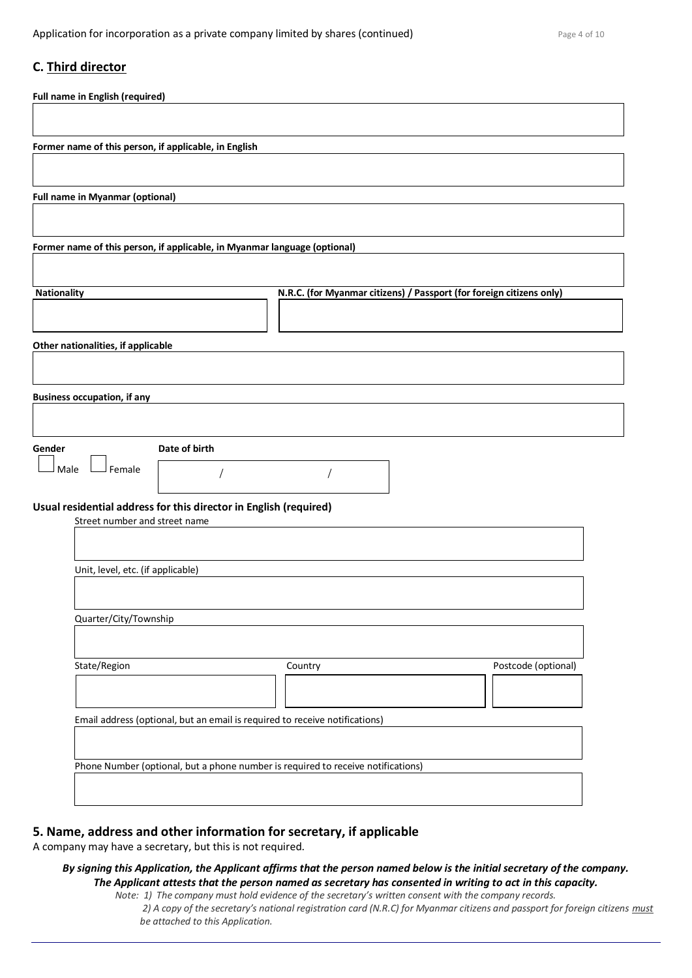# **C. Third director**

| Full name in English (required)                       |                                                                                  |                                                                      |                     |
|-------------------------------------------------------|----------------------------------------------------------------------------------|----------------------------------------------------------------------|---------------------|
| Former name of this person, if applicable, in English |                                                                                  |                                                                      |                     |
|                                                       |                                                                                  |                                                                      |                     |
| <b>Full name in Myanmar (optional)</b>                |                                                                                  |                                                                      |                     |
|                                                       |                                                                                  |                                                                      |                     |
|                                                       | Former name of this person, if applicable, in Myanmar language (optional)        |                                                                      |                     |
| <b>Nationality</b>                                    |                                                                                  | N.R.C. (for Myanmar citizens) / Passport (for foreign citizens only) |                     |
|                                                       |                                                                                  |                                                                      |                     |
| Other nationalities, if applicable                    |                                                                                  |                                                                      |                     |
|                                                       |                                                                                  |                                                                      |                     |
| <b>Business occupation, if any</b>                    |                                                                                  |                                                                      |                     |
| Gender                                                | Date of birth                                                                    |                                                                      |                     |
| Female<br>Male                                        |                                                                                  |                                                                      |                     |
|                                                       | Usual residential address for this director in English (required)                |                                                                      |                     |
| Street number and street name                         |                                                                                  |                                                                      |                     |
| Unit, level, etc. (if applicable)                     |                                                                                  |                                                                      |                     |
|                                                       |                                                                                  |                                                                      |                     |
| Quarter/City/Township                                 |                                                                                  |                                                                      |                     |
| State/Region                                          |                                                                                  | Country                                                              | Postcode (optional) |
|                                                       |                                                                                  |                                                                      |                     |
|                                                       | Email address (optional, but an email is required to receive notifications)      |                                                                      |                     |
|                                                       | Phone Number (optional, but a phone number is required to receive notifications) |                                                                      |                     |
|                                                       |                                                                                  |                                                                      |                     |

# **5. Name, address and other information for secretary, if applicable**

A company may have a secretary, but this is not required.

#### *By signing this Application, the Applicant affirms that the person named below is the initial secretary of the company. The Applicant attests that the person named as secretary has consented in writing to act in this capacity.*

*Note: 1) The company must hold evidence of the secretary's written consent with the company records. 2) A copy of the secretary's national registration card (N.R.C) for Myanmar citizens and passport for foreign citizens must be attached to this Application.*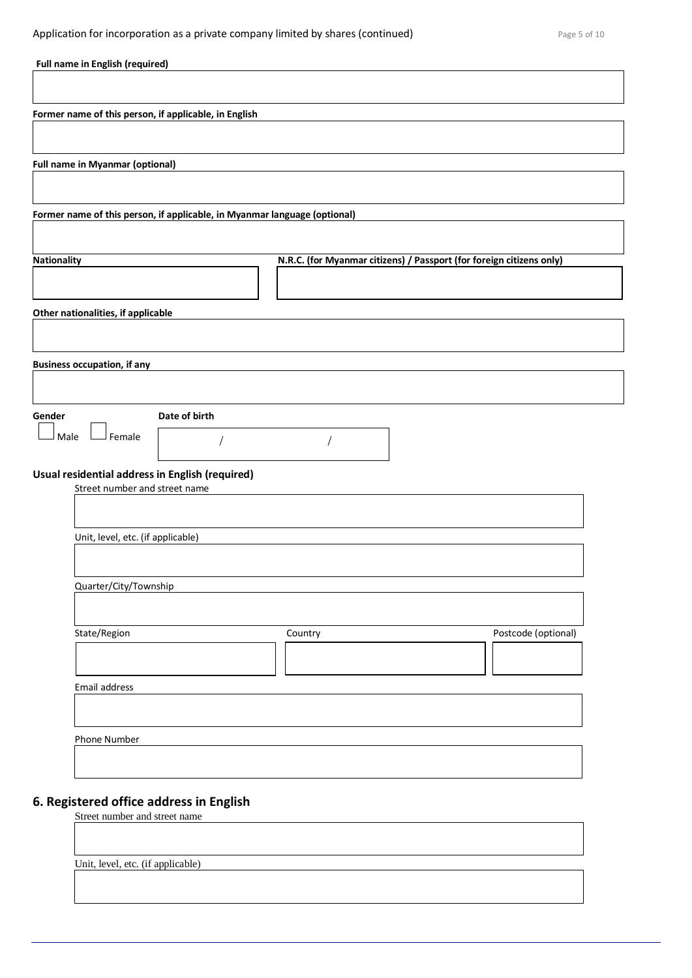| Full name in English (required)                                                  |               |                                                                      |                     |
|----------------------------------------------------------------------------------|---------------|----------------------------------------------------------------------|---------------------|
|                                                                                  |               |                                                                      |                     |
| Former name of this person, if applicable, in English                            |               |                                                                      |                     |
|                                                                                  |               |                                                                      |                     |
| <b>Full name in Myanmar (optional)</b>                                           |               |                                                                      |                     |
|                                                                                  |               |                                                                      |                     |
| Former name of this person, if applicable, in Myanmar language (optional)        |               |                                                                      |                     |
|                                                                                  |               |                                                                      |                     |
| <b>Nationality</b>                                                               |               | N.R.C. (for Myanmar citizens) / Passport (for foreign citizens only) |                     |
|                                                                                  |               |                                                                      |                     |
| Other nationalities, if applicable                                               |               |                                                                      |                     |
|                                                                                  |               |                                                                      |                     |
| <b>Business occupation, if any</b>                                               |               |                                                                      |                     |
|                                                                                  |               |                                                                      |                     |
|                                                                                  |               |                                                                      |                     |
| Gender<br>Female<br>Male                                                         | Date of birth |                                                                      |                     |
|                                                                                  |               |                                                                      |                     |
| Usual residential address in English (required)<br>Street number and street name |               |                                                                      |                     |
|                                                                                  |               |                                                                      |                     |
|                                                                                  |               |                                                                      |                     |
| Unit, level, etc. (if applicable)                                                |               |                                                                      |                     |
|                                                                                  |               |                                                                      |                     |
| Quarter/City/Township                                                            |               |                                                                      |                     |
|                                                                                  |               |                                                                      |                     |
| State/Region                                                                     |               | Country                                                              | Postcode (optional) |
|                                                                                  |               |                                                                      |                     |
| Email address                                                                    |               |                                                                      |                     |
|                                                                                  |               |                                                                      |                     |
| Phone Number                                                                     |               |                                                                      |                     |
|                                                                                  |               |                                                                      |                     |

# **6. Registered office address in English**

Street number and street name

Unit, level, etc. (if applicable)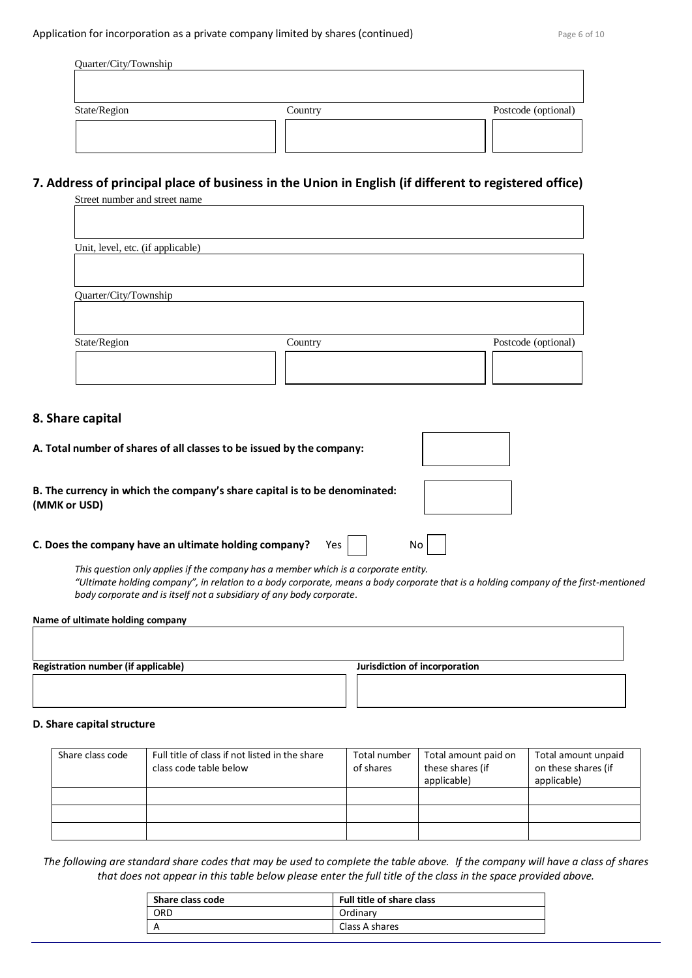$\overline{\phantom{0}}$ 

 $\Gamma$ 

| Quarter/City/Township |         |                     |
|-----------------------|---------|---------------------|
|                       |         |                     |
|                       |         |                     |
| State/Region          | Country | Postcode (optional) |
|                       |         |                     |
|                       |         |                     |

# **7. Address of principal place of business in the Union in English (if different to registered office)**

| Street number and street name     |         |                     |
|-----------------------------------|---------|---------------------|
|                                   |         |                     |
|                                   |         |                     |
| Unit, level, etc. (if applicable) |         |                     |
|                                   |         |                     |
|                                   |         |                     |
| Quarter/City/Township             |         |                     |
|                                   |         |                     |
|                                   |         |                     |
| State/Region                      | Country | Postcode (optional) |
|                                   |         |                     |
|                                   |         |                     |
|                                   |         |                     |
|                                   |         |                     |

#### **8. Share capital**

| A. Total number of shares of all classes to be issued by the company:                      |    |
|--------------------------------------------------------------------------------------------|----|
| B. The currency in which the company's share capital is to be denominated:<br>(MMK or USD) |    |
| C. Does the company have an ultimate holding company?<br>Yes.                              | No |

*This question only applies if the company has a member which is a corporate entity. "Ultimate holding company", in relation to a body corporate, means a body corporate that is a holding company of the first-mentioned body corporate and is itself not a subsidiary of any body corporate.*

| Name of ultimate holding company           |                               |
|--------------------------------------------|-------------------------------|
|                                            |                               |
|                                            |                               |
|                                            |                               |
| <b>Registration number (if applicable)</b> | Jurisdiction of incorporation |
|                                            |                               |
|                                            |                               |
|                                            |                               |

#### **D. Share capital structure**

| Share class code | Full title of class if not listed in the share<br>class code table below | Total number<br>of shares | Total amount paid on<br>these shares (if<br>applicable) | Total amount unpaid<br>on these shares (if<br>applicable) |
|------------------|--------------------------------------------------------------------------|---------------------------|---------------------------------------------------------|-----------------------------------------------------------|
|                  |                                                                          |                           |                                                         |                                                           |
|                  |                                                                          |                           |                                                         |                                                           |
|                  |                                                                          |                           |                                                         |                                                           |

*The following are standard share codes that may be used to complete the table above. If the company will have a class of shares that does not appear in this table below please enter the full title of the class in the space provided above.*

| Share class code | Full title of share class |
|------------------|---------------------------|
| ORD              | Ordinary                  |
| А                | Class A shares            |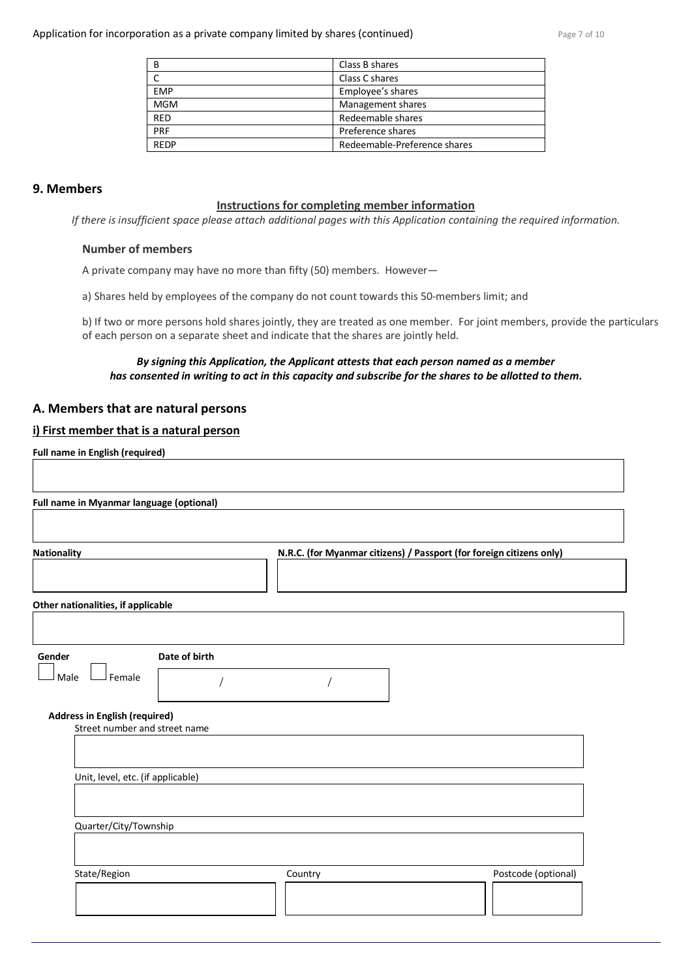| B           | Class B shares               |
|-------------|------------------------------|
|             | Class C shares               |
| <b>FMP</b>  | Employee's shares            |
| <b>MGM</b>  | Management shares            |
| <b>RFD</b>  | Redeemable shares            |
| <b>PRF</b>  | Preference shares            |
| <b>RFDP</b> | Redeemable-Preference shares |

#### **9. Members**

#### **Instructions for completing member information**

*If there is insufficient space please attach additional pages with this Application containing the required information.*

#### **Number of members**

A private company may have no more than fifty (50) members. However—

a) Shares held by employees of the company do not count towards this 50-members limit; and

b) If two or more persons hold shares jointly, they are treated as one member. For joint members, provide the particulars of each person on a separate sheet and indicate that the shares are jointly held.

#### *By signing this Application, the Applicant attests that each person named as a member has consented in writing to act in this capacity and subscribe for the shares to be allotted to them.*

#### **A. Members that are natural persons**

#### **i) First member that is a natural person**

**Full name in English (required)**

|                                                                                                               |                                                                                     | N.R.C. (for Myanmar citizens) / Passport (for foreign citizens only) |  |
|---------------------------------------------------------------------------------------------------------------|-------------------------------------------------------------------------------------|----------------------------------------------------------------------|--|
|                                                                                                               |                                                                                     |                                                                      |  |
|                                                                                                               |                                                                                     |                                                                      |  |
|                                                                                                               |                                                                                     |                                                                      |  |
|                                                                                                               |                                                                                     |                                                                      |  |
|                                                                                                               |                                                                                     |                                                                      |  |
|                                                                                                               |                                                                                     |                                                                      |  |
|                                                                                                               |                                                                                     |                                                                      |  |
| Other nationalities, if applicable<br>Female<br><b>Address in English (required)</b><br>Quarter/City/Township | Date of birth<br>Street number and street name<br>Unit, level, etc. (if applicable) |                                                                      |  |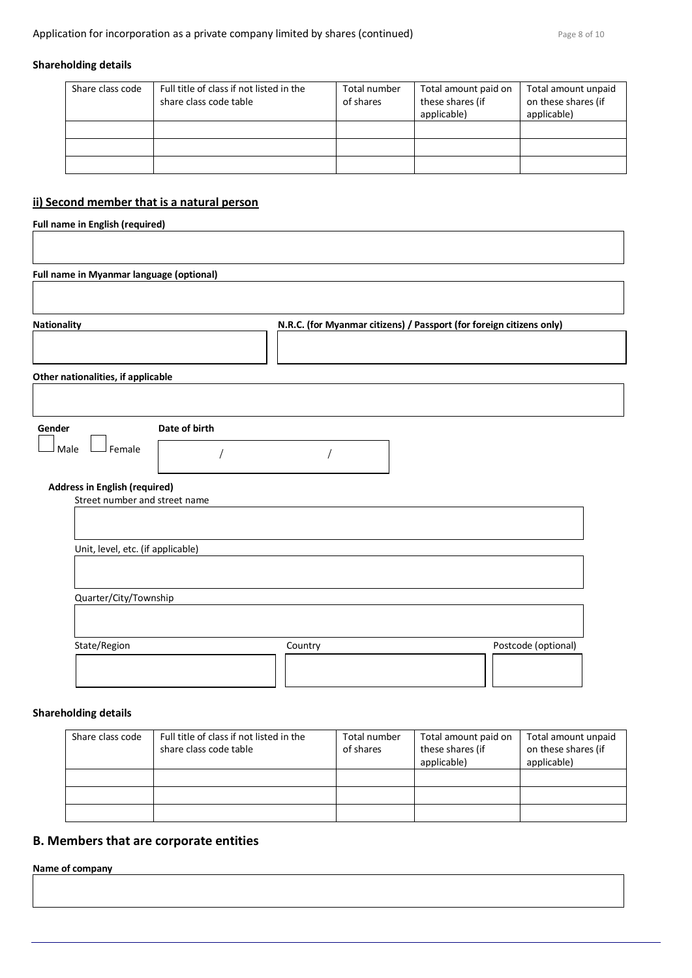#### **Shareholding details**

| Share class code | Full title of class if not listed in the<br>share class code table | Total number<br>of shares | Total amount paid on<br>these shares (if<br>applicable) | Total amount unpaid<br>on these shares (if<br>applicable) |
|------------------|--------------------------------------------------------------------|---------------------------|---------------------------------------------------------|-----------------------------------------------------------|
|                  |                                                                    |                           |                                                         |                                                           |
|                  |                                                                    |                           |                                                         |                                                           |
|                  |                                                                    |                           |                                                         |                                                           |

## **ii) Second member that is a natural person**

**Full name in English (required)**

| <b>Nationality</b>                                                    |               |  | N.R.C. (for Myanmar citizens) / Passport (for foreign citizens only) |  |
|-----------------------------------------------------------------------|---------------|--|----------------------------------------------------------------------|--|
| Other nationalities, if applicable                                    |               |  |                                                                      |  |
| Gender<br>Female<br>Male                                              | Date of birth |  |                                                                      |  |
| <b>Address in English (required)</b><br>Street number and street name |               |  |                                                                      |  |
| Unit, level, etc. (if applicable)                                     |               |  |                                                                      |  |
| Quarter/City/Township                                                 |               |  |                                                                      |  |

## **Shareholding details**

| Share class code | Full title of class if not listed in the<br>share class code table | Total number<br>of shares | Total amount paid on<br>these shares (if<br>applicable) | Total amount unpaid<br>on these shares (if<br>applicable) |
|------------------|--------------------------------------------------------------------|---------------------------|---------------------------------------------------------|-----------------------------------------------------------|
|                  |                                                                    |                           |                                                         |                                                           |
|                  |                                                                    |                           |                                                         |                                                           |
|                  |                                                                    |                           |                                                         |                                                           |

## **B. Members that are corporate entities**

**Name of company**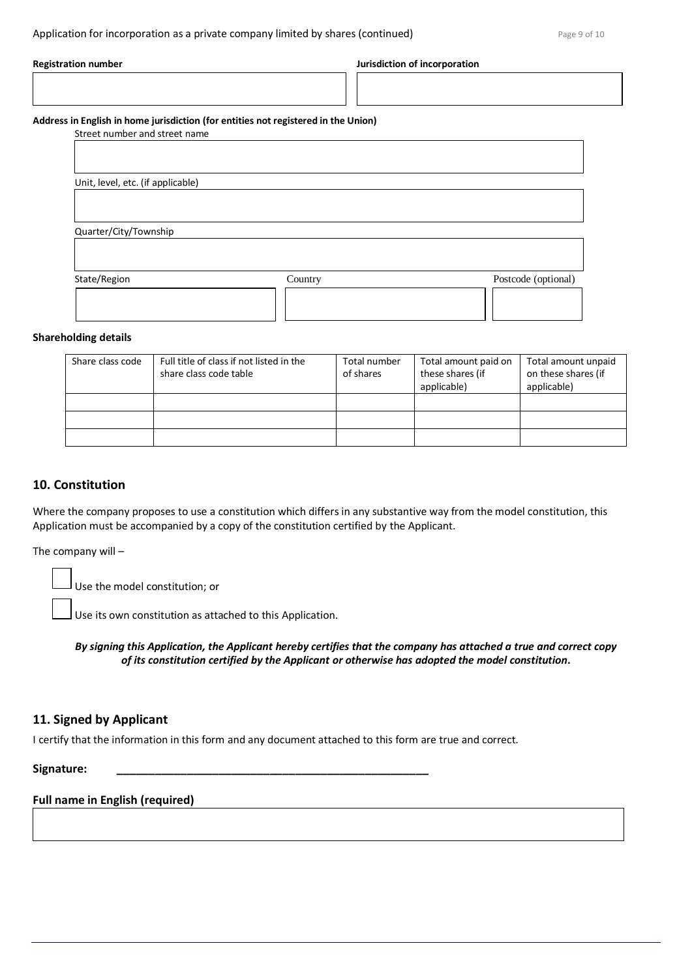| <b>Registration number</b>        |                                                                                    | Jurisdiction of incorporation |
|-----------------------------------|------------------------------------------------------------------------------------|-------------------------------|
| Street number and street name     | Address in English in home jurisdiction (for entities not registered in the Union) |                               |
| Unit, level, etc. (if applicable) |                                                                                    |                               |
| Quarter/City/Township             |                                                                                    |                               |
|                                   |                                                                                    |                               |
| State/Region                      | Country                                                                            | Postcode (optional)           |

#### **Shareholding details**

| Share class code | Full title of class if not listed in the<br>share class code table | Total number<br>of shares | Total amount paid on<br>these shares (if<br>applicable) | Total amount unpaid<br>on these shares (if<br>applicable) |
|------------------|--------------------------------------------------------------------|---------------------------|---------------------------------------------------------|-----------------------------------------------------------|
|                  |                                                                    |                           |                                                         |                                                           |
|                  |                                                                    |                           |                                                         |                                                           |
|                  |                                                                    |                           |                                                         |                                                           |

#### **10. Constitution**

Where the company proposes to use a constitution which differs in any substantive way from the model constitution, this Application must be accompanied by a copy of the constitution certified by the Applicant.

The company will –

Use the model constitution; or

Use its own constitution as attached to this Application.

*By signing this Application, the Applicant hereby certifies that the company has attached a true and correct copy of its constitution certified by the Applicant or otherwise has adopted the model constitution***.**

#### **11. Signed by Applicant**

I certify that the information in this form and any document attached to this form are true and correct.

#### **Signature: \_\_\_\_\_\_\_\_\_\_\_\_\_\_\_\_\_\_\_\_\_\_\_\_\_\_\_\_\_\_\_\_\_\_\_\_\_\_\_\_\_\_\_\_\_\_\_\_\_**

#### **Full name in English (required)**